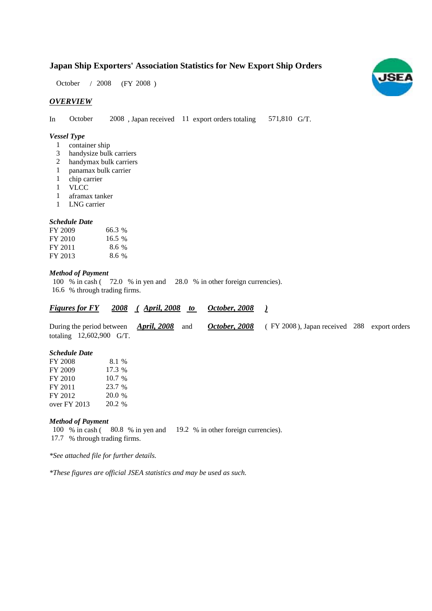# **Japan Ship Exporters' Association Statistics for New Export Ship Orders**

 $/ 2008$  (FY 2008) October / 2008

### *OVERVIEW*

In October  $2008$ , Japan received 11 export orders totaling 571,810 G/T. **October** 

#### *Vessel Type*

- 1 container ship
- handysize bulk carriers 3
- handymax bulk carriers 2
- panamax bulk carrier 1
- chip carrier 1
- VLCC 1
- aframax tanker 1
- LNG carrier 1

#### *Schedule Date*

| FY 2009 | 66.3 %  |
|---------|---------|
| FY 2010 | 16.5%   |
| FY 2011 | 8.6%    |
| FY 2013 | $8.6\%$ |

### *Method of Payment*

100 % in cash (72.0 % in yen and 28.0 % in other foreign currencies). 16.6 % through trading firms.

*<u>Figures for FY 2008 (April, 2008 to October, 2008 )</u>* 

| During the period between <i>April</i> , 2008 and |  | <i>October</i> , 2008 (FY 2008), Japan received 288 export orders |  |
|---------------------------------------------------|--|-------------------------------------------------------------------|--|
| totaling $12,602,900$ G/T.                        |  |                                                                   |  |

*October, 2008*

# *Schedule Date*

| FY 2008      | 8.1 %    |
|--------------|----------|
| FY 2009      | $17.3\%$ |
| FY 2010      | 10.7%    |
| FY 2011      | 23.7 %   |
| FY 2012      | 20.0 %   |
| over FY 2013 | 20.2 %   |

#### *Method of Payment*

100 % in cash (80.8 % in yen and 19.2 % in other foreign currencies). % through trading firms. 17.7

*\*See attached file for further details.*

*\*These figures are official JSEA statistics and may be used as such.*

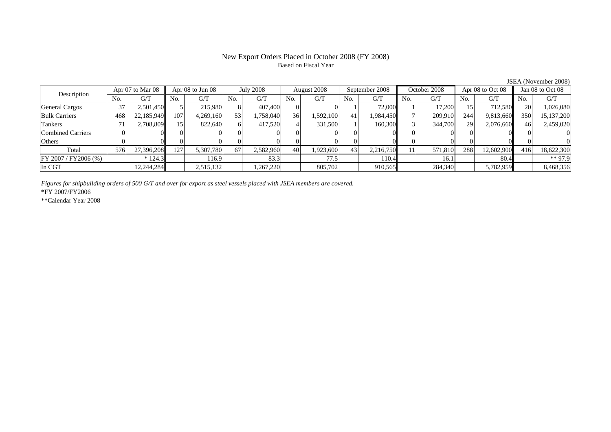# Based on Fiscal Year

No. G/T No. G/T No. G/T No. G/T No. G/T No. G/T No. G/T No. G/TGeneral Cargos ( 37 2,501,450 5 215,980 8 407,400 0 0 1 72,000 1 17,200 15 712,580 20 1,026,080 Bulk Carriers | 468| 22,185,949| 107| 4,269,160| 53| 1,758,040| 36| 1,592,100| 41| 1,984,450| 7| 209,910| 244| 9,813,660|| 350| 15,137,200 Tankers | 71| 2,708,809|| 15| 822,640| 6| 417,520| 4| 331,500| 1| 160,300| 3| 344,700| 29| 2,076,660|| 46| 2,459,020 Combined Carriers 0 0 0 0 0 0 0 0 0 0 0 0 0 0 0 0Others 0 0 0 0 0 0 0 0 0 0 0 0 0 0 0 0 $\mathbf{0}$ Total 576 27,396,208 127 5,307,780 67 2,582,960 40 1,923,600 43 2,216,750 11 571,810 288 12,602,900 416 18,622,300 FY 2007 / FY 2006 (%)  $* 124.3$  116.9 83.3 77.5 10.4 10.4 81.1 80.4 80.4 \*\* 97.9 In CGT | | 12,244,284| | 2,515,132| | 1,267,220| | 805,702| | 910,565| | 284,340| | 5,782,959|| | 8,468,356 Description Apr 07 to Mar 08 Apr 08 to Jun 08 July 2008 August 2008<br>No. 6/T No. 6/T No. 6/T No. 6/T No. 6/T Apr 08 to Jun 08 July 2008 August 2008 September 2008 October 2008 Apr 08 to Oct 08 Jan 08 to Oct 08

*Figures for shipbuilding orders of 500 G/T and over for export as steel vessels placed with JSEA members are covered.*

\*FY 2007/FY2006

\*\*Calendar Year 2008

JSEA (November 2008)

# New Export Orders Placed in October 2008 (FY 2008)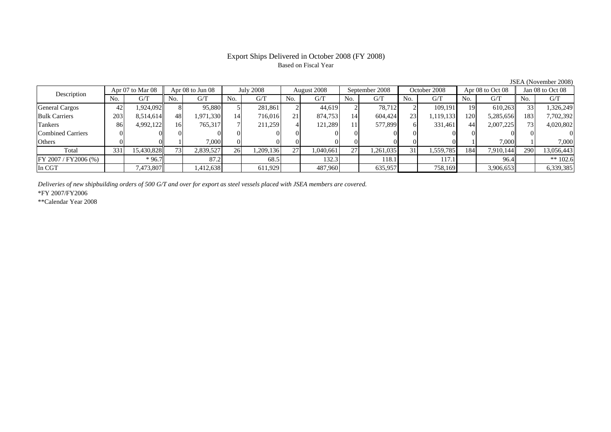# Export Ships Delivered in October 2008 (FY 2008) Based on Fiscal Year

JSEA (November 2008)

| Description           |     | Apr 07 to Mar 08 |     | Apr $08$ to Jun $08$ |     | <b>July 2008</b> |     | August 2008 |     | September 2008 |                | October 2008 |                  | Apr 08 to Oct 08 |     | Jan 08 to Oct 08 |
|-----------------------|-----|------------------|-----|----------------------|-----|------------------|-----|-------------|-----|----------------|----------------|--------------|------------------|------------------|-----|------------------|
|                       | No. | G/T              | No. | G/T                  | No. | G/T              | No. | G/T         | No. | G/T            | N <sub>o</sub> | G/T          | No.              | G/T              | No. | G/T              |
| <b>General Cargos</b> | 42  | 1.924.0921       | 81  | 95,880               |     | 281,861          |     | 44.619      |     | 78.712         |                | 109.191      | 19               | 610.263          | 33  | 1,326,249        |
| <b>Bulk Carriers</b>  | 203 | 8,514,614        | 48  | 1,971,330            | 14  | 716,016          | 21  | 874,753     | 14  | 604,424        | 23             | 1,119,133    | 120 <sup>1</sup> | 5,285,656        | 183 | 7,702,392        |
| Tankers               | 86  | 4,992,122        | 161 | 765,317              |     | 211,259          |     | 121.289     | 11  | 577,899        |                | 331,461      | 44               | 2,007,225        | 73  | 4,020,802        |
| Combined Carriers     |     |                  |     |                      |     |                  |     |             |     |                |                |              |                  |                  |     |                  |
| Others                |     |                  |     | 7.000                |     |                  |     |             |     |                |                |              |                  | 7.000            |     | 7,000            |
| Total                 | 331 | 15,430,828       | 731 | 2,839,527            | 26  | 1,209,136        | 27  | 1.040.661   | 27  | 1,261,035      | 31             | 1,559,785    | 184              | 7.910.144        | 290 | 13,056,443       |
| FY 2007 / FY2006 (%)  |     | $*96.7$          |     | 87.2                 |     | 68.5             |     | 132.3       |     | 18.1           |                | 117.1        |                  | 96.4             |     | ** $102.6$       |
| In CGT                |     | 7,473,807        |     | 1,412,638            |     | 611,929          |     | 487,960     |     | 635,957        |                | 758,169      |                  | 3,906,653        |     | 6,339,385        |

*Deliveries of new shipbuilding orders of 500 G/T and over for export as steel vessels placed with JSEA members are covered.*

\*FY 2007/FY2006

\*\*Calendar Year 2008